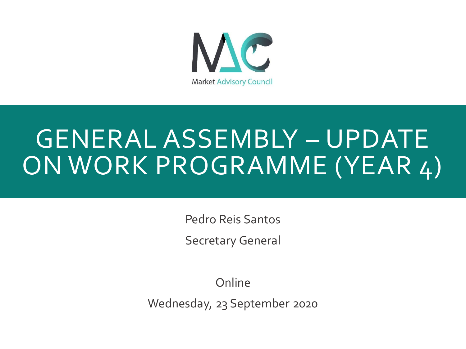

# GENERAL ASSEMBLY – UPDATE ON WORK PROGRAMME (YEAR 4)

Pedro Reis Santos

Secretary General

Online

Wednesday, 23 September 2020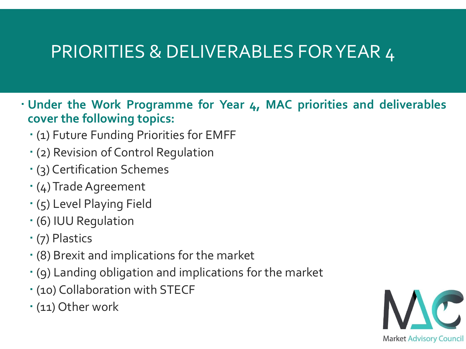- **Under the Work Programme for Year 4, MAC priorities and deliverables cover the following topics:**
	- (1) Future Funding Priorities for EMFF
	- (2) Revision of Control Regulation
	- (3) Certification Schemes
	- (4)Trade Agreement
	- (5) Level Playing Field
	- (6) IUU Regulation
	- (7) Plastics
	- (8) Brexit and implications for the market
	- (9) Landing obligation and implications for the market
	- (10) Collaboration with STECF
	- (11) Other work

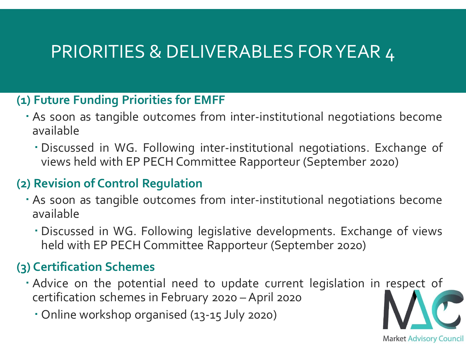#### **(1) Future Funding Priorities for EMFF**

- As soon as tangible outcomes from inter-institutional negotiations become available
	- Discussed in WG. Following inter-institutional negotiations. Exchange of views held with EP PECH Committee Rapporteur (September 2020)

#### **(2) Revision of Control Regulation**

- As soon as tangible outcomes from inter-institutional negotiations become available
	- Discussed in WG. Following legislative developments. Exchange of views held with EP PECH Committee Rapporteur (September 2020)

#### **(3) Certification Schemes**

- Advice on the potential need to update current legislation in respect of certification schemes in February 2020 – April 2020
	- Online workshop organised (13-15 July 2020)

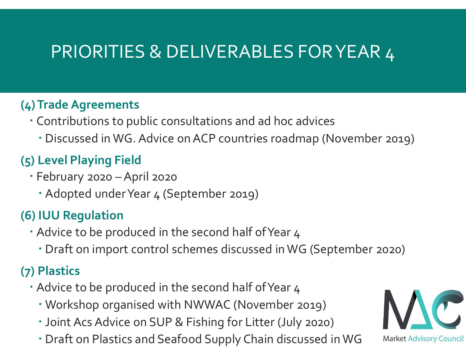#### **(4)Trade Agreements**

- Contributions to public consultations and ad hoc advices
	- Discussed in WG. Advice on ACP countries roadmap (November 2019)

#### **(5) Level Playing Field**

- February 2020 April 2020
	- Adopted under Year 4 (September 2019)

#### **(6) IUU Regulation**

- Advice to be produced in the second half ofYear 4
	- Draft on import control schemes discussed in WG (September 2020)

#### **(7) Plastics**

- Advice to be produced in the second half ofYear 4
	- Workshop organised with NWWAC (November 2019)
	- Joint Acs Advice on SUP & Fishing for Litter (July 2020)
	- Draft on Plastics and Seafood Supply Chain discussed inWG